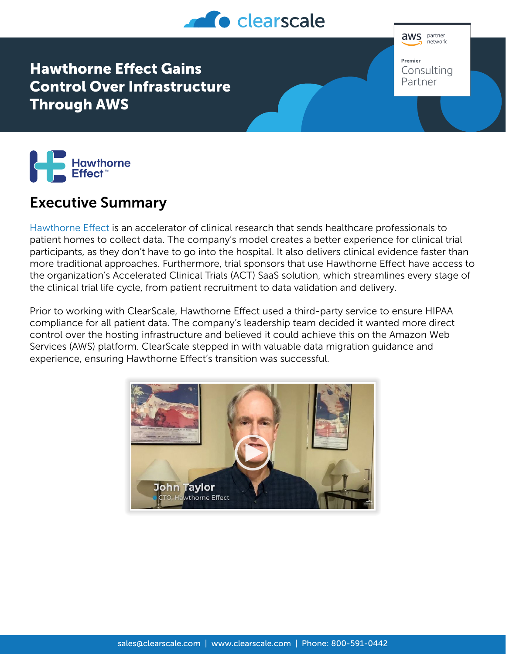

**aws** partner .<br>network Premier Consulting Partner

Hawthorne Effect Gains Control Over Infrastructure Through AWS



## Executive Summary

[Hawthorne Effect](https://hawthorne-effect.com/) is an accelerator of clinical research that sends healthcare professionals to patient homes to collect data. The company's model creates a better experience for clinical trial participants, as they don't have to go into the hospital. It also delivers clinical evidence faster than more traditional approaches. Furthermore, trial sponsors that use Hawthorne Effect have access to the organization's Accelerated Clinical Trials (ACT) SaaS solution, which streamlines every stage of the clinical trial life cycle, from patient recruitment to data validation and delivery.

Prior to working with ClearScale, Hawthorne Effect used a third-party service to ensure HIPAA compliance for all patient data. The company's leadership team decided it wanted more direct control over the hosting infrastructure and believed it could achieve this on the Amazon Web Services (AWS) platform. ClearScale stepped in with valuable data migration guidance and experience, ensuring Hawthorne Effect's transition was successful.

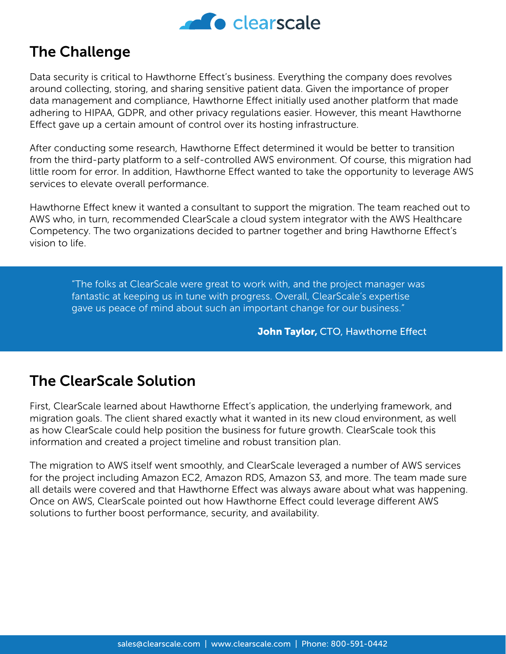

## The Challenge

Data security is critical to Hawthorne Effect's business. Everything the company does revolves around collecting, storing, and sharing sensitive patient data. Given the importance of proper data management and compliance, Hawthorne Effect initially used another platform that made adhering to HIPAA, GDPR, and other privacy regulations easier. However, this meant Hawthorne Effect gave up a certain amount of control over its hosting infrastructure.

After conducting some research, Hawthorne Effect determined it would be better to transition from the third-party platform to a self-controlled AWS environment. Of course, this migration had little room for error. In addition, Hawthorne Effect wanted to take the opportunity to leverage AWS services to elevate overall performance.

Hawthorne Effect knew it wanted a consultant to support the migration. The team reached out to AWS who, in turn, recommended ClearScale a cloud system integrator with the AWS Healthcare Competency. The two organizations decided to partner together and bring Hawthorne Effect's vision to life.

"The folks at ClearScale were great to work with, and the project manager was fantastic at keeping us in tune with progress. Overall, ClearScale's expertise gave us peace of mind about such an important change for our business."

John Taylor, CTO, Hawthorne Effect

## The ClearScale Solution

First, ClearScale learned about Hawthorne Effect's application, the underlying framework, and migration goals. The client shared exactly what it wanted in its new cloud environment, as well as how ClearScale could help position the business for future growth. ClearScale took this information and created a project timeline and robust transition plan.

The migration to AWS itself went smoothly, and ClearScale leveraged a number of AWS services for the project including Amazon EC2, Amazon RDS, Amazon S3, and more. The team made sure all details were covered and that Hawthorne Effect was always aware about what was happening. Once on AWS, ClearScale pointed out how Hawthorne Effect could leverage different AWS solutions to further boost performance, security, and availability.